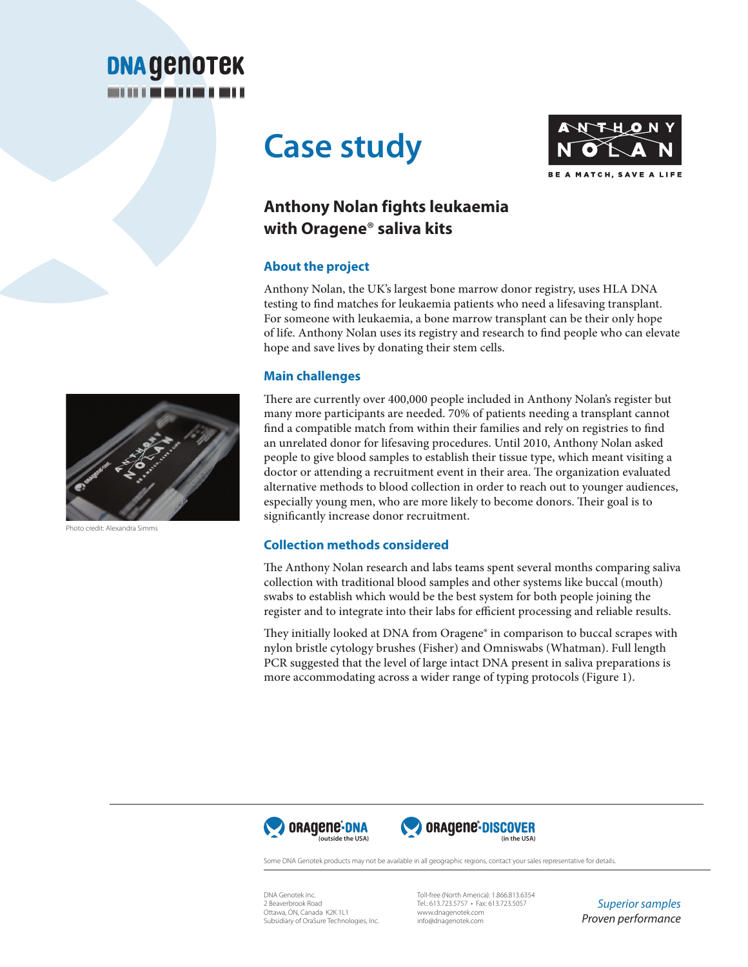

# **Case study**



# **Anthony Nolan fights leukaemia with Oragene**® **saliva kits**

## **About the project**

Anthony Nolan, the UK's largest bone marrow donor registry, uses HLA DNA testing to find matches for leukaemia patients who need a lifesaving transplant. For someone with leukaemia, a bone marrow transplant can be their only hope of life. Anthony Nolan uses its registry and research to find people who can elevate hope and save lives by donating their stem cells.

## **Main challenges**

There are currently over 400,000 people included in Anthony Nolan's register but many more participants are needed. 70% of patients needing a transplant cannot find a compatible match from within their families and rely on registries to find an unrelated donor for lifesaving procedures. Until 2010, Anthony Nolan asked people to give blood samples to establish their tissue type, which meant visiting a doctor or attending a recruitment event in their area. The organization evaluated alternative methods to blood collection in order to reach out to younger audiences, especially young men, who are more likely to become donors. Their goal is to significantly increase donor recruitment.

## **Collection methods considered**

The Anthony Nolan research and labs teams spent several months comparing saliva collection with traditional blood samples and other systems like buccal (mouth) swabs to establish which would be the best system for both people joining the register and to integrate into their labs for efficient processing and reliable results.

They initially looked at DNA from Oragene® in comparison to buccal scrapes with nylon bristle cytology brushes (Fisher) and Omniswabs (Whatman). Full length PCR suggested that the level of large intact DNA present in saliva preparations is more accommodating across a wider range of typing protocols (Figure 1).





Some DNA Genotek products may not be available in all geographic regions, contact your sales representative for details

DNA Genotek Inc. 2 Beaverbrook Road Ottawa, ON, Canada K2K 1L1 Subsidiary of OraSure Technologies, Inc.

Toll-free (North America): 1.866.813.6354 Tel.: 613.723.5757 • Fax: 613.723.5057 www.dnagenotek.com info@dnagenotek.com

*Superior samples Proven performance*



credit: Alexandra Simms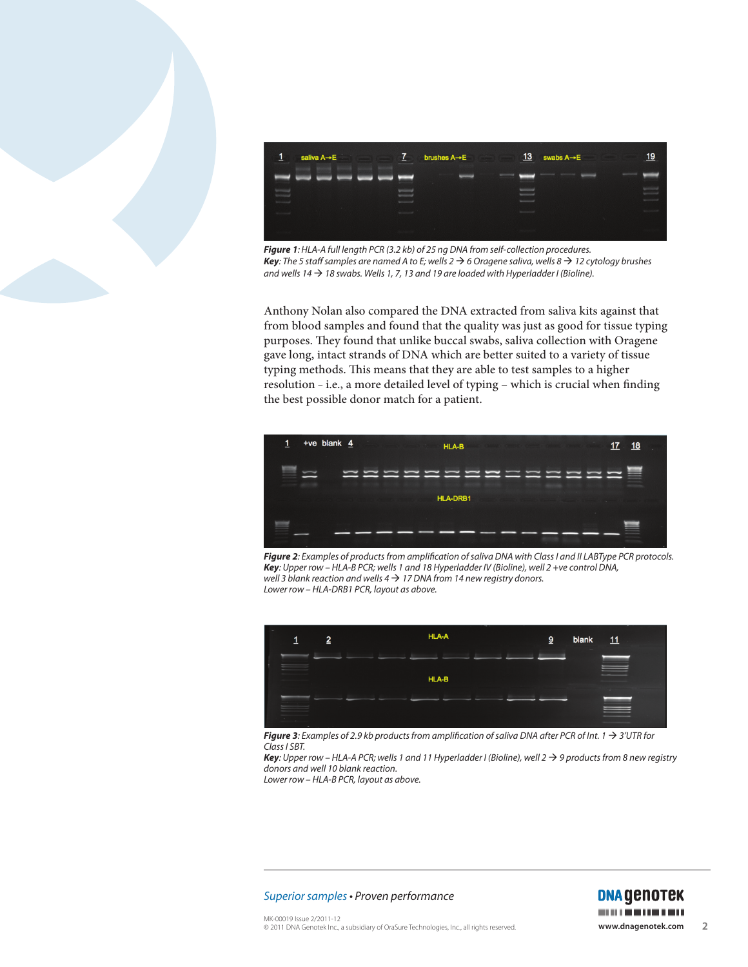



*Figure 1: HLA-A full length PCR (3.2 kb) of 25 ng DNA from self-collection procedures. Key: The 5 staff samples are named A to E; wells 2 6 Oragene saliva, wells 8 12 cytology brushes*  and wells  $14 \rightarrow 18$  swabs. Wells 1, 7, 13 and 19 are loaded with Hyperladder I (Bioline).

Anthony Nolan also compared the DNA extracted from saliva kits against that from blood samples and found that the quality was just as good for tissue typing purposes. They found that unlike buccal swabs, saliva collection with Oragene gave long, intact strands of DNA which are better suited to a variety of tissue typing methods. This means that they are able to test samples to a higher resolution *–* i.e., a more detailed level of typing – which is crucial when finding the best possible donor match for a patient.



*Figure 2: Examples of products from amplification of saliva DNA with Class I and II LABType PCR protocols. Key: Upper row – HLA-B PCR; wells 1 and 18 Hyperladder IV (Bioline), well 2 +ve control DNA, well 3 blank reaction and wells 4 17 DNA from 14 new registry donors. Lower row – HLA-DRB1 PCR, layout as above.*



*Figure 3: Examples of 2.9 kb products from amplification of saliva DNA after PCR of Int.*  $1 \rightarrow 3'UTR$  for *Class I SBT.*

*Key:* Upper row − HLA-A PCR; wells 1 and 11 Hyperladder I (Bioline), well 2 → 9 products from 8 new registry *donors and well 10 blank reaction. Lower row – HLA-B PCR, layout as above.*

*Superior samples* • *Proven performance*

**DNA GENOTEK** *<u>PERMIT BARBA</u>*